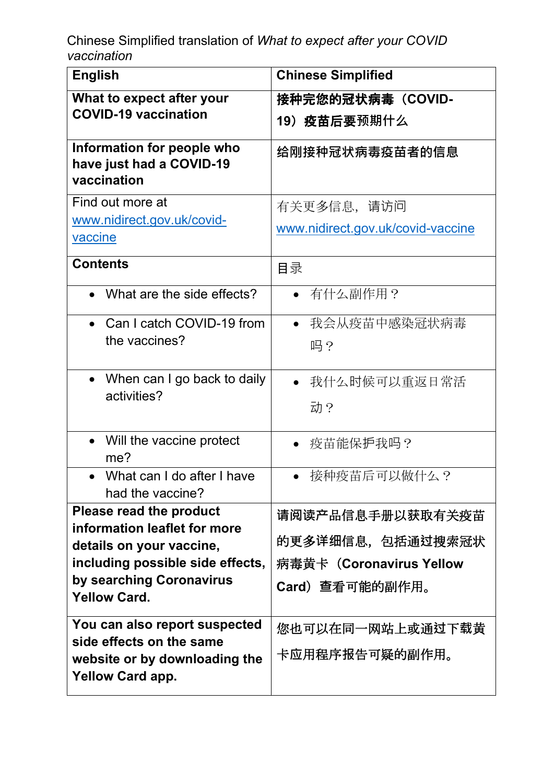| <b>English</b>                                                        | <b>Chinese Simplified</b>         |
|-----------------------------------------------------------------------|-----------------------------------|
| What to expect after your                                             | 接种完您的冠状病毒(COVID-                  |
| <b>COVID-19 vaccination</b>                                           | 19) 疫苗后要预期什么                      |
| Information for people who<br>have just had a COVID-19<br>vaccination | 给刚接种冠状病毒疫苗者的信息                    |
| Find out more at                                                      | 有关更多信息,请访问                        |
| www.nidirect.gov.uk/covid-<br>vaccine                                 | www.nidirect.gov.uk/covid-vaccine |
| <b>Contents</b>                                                       | 目录                                |
| What are the side effects?                                            | ● 有什么副作用?                         |
| Can I catch COVID-19 from<br>$\bullet$                                | 我会从疫苗中感染冠状病毒                      |
| the vaccines?                                                         | 吗?                                |
| When can I go back to daily<br>$\bullet$                              | 我什么时候可以重返日常活                      |
| activities?                                                           | 动?                                |
| Will the vaccine protect<br>$\bullet$<br>me?                          | 疫苗能保护我吗?                          |
| What can I do after I have<br>had the vaccine?                        | 接种疫苗后可以做什么?                       |
| Please read the product                                               | 请阅读产品信息手册以获取有关疫苗                  |
| information leaflet for more<br>details on your vaccine,              | 的更多详细信息,包括通过搜索冠状                  |
| including possible side effects,                                      | 病毒黄卡 (Coronavirus Yellow          |
| by searching Coronavirus                                              | <b>Card</b> ) 查看可能的副作用。           |
| <b>Yellow Card.</b>                                                   |                                   |
| You can also report suspected                                         | 您也可以在同一网站上或通过下载黄                  |
| side effects on the same<br>website or by downloading the             | 卡应用程序报告可疑的副作用。                    |
| <b>Yellow Card app.</b>                                               |                                   |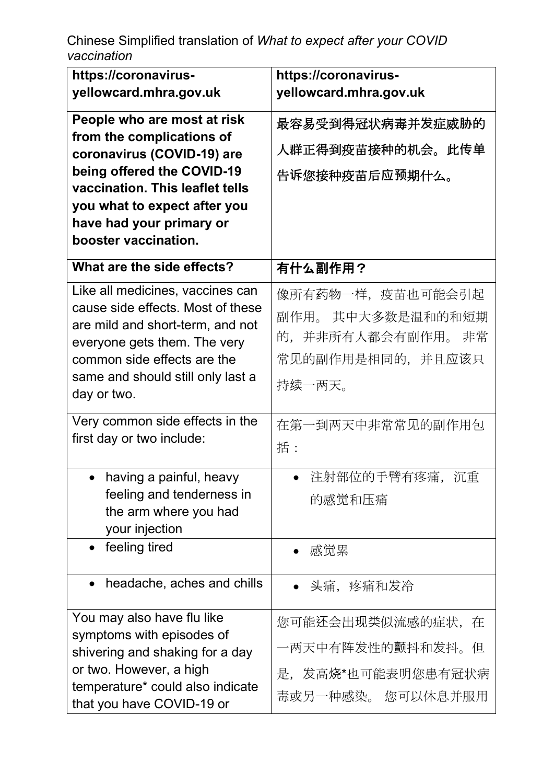| https://coronavirus-                                        | https://coronavirus-     |
|-------------------------------------------------------------|--------------------------|
| yellowcard.mhra.gov.uk                                      | yellowcard.mhra.gov.uk   |
| People who are most at risk                                 | 最容易受到得冠状病毒并发症威胁的         |
| from the complications of<br>coronavirus (COVID-19) are     | 人群正得到疫苗接种的机会。此传单         |
| being offered the COVID-19                                  | 告诉您接种疫苗后应预期什么。           |
| vaccination. This leaflet tells                             |                          |
| you what to expect after you                                |                          |
| have had your primary or                                    |                          |
| booster vaccination.                                        |                          |
| What are the side effects?                                  | 有什么副作用?                  |
| Like all medicines, vaccines can                            | 像所有药物一样,疫苗也可能会引起         |
| cause side effects. Most of these                           | 副作用。 其中大多数是温和的和短期        |
| are mild and short-term, and not                            | 并非所有人都会有副作用。<br>的,<br>非常 |
| everyone gets them. The very<br>common side effects are the | 常见的副作用是相同的,并且应该只         |
| same and should still only last a                           |                          |
| day or two.                                                 | 持续一两天。                   |
|                                                             |                          |
| Very common side effects in the                             | 在第一到两天中非常常见的副作用包         |
| first day or two include:                                   | 括:                       |
| having a painful, heavy<br>$\bullet$                        | 注射部位的手臂有疼痛,<br>沉重        |
| feeling and tenderness in                                   |                          |
| the arm where you had                                       | 的感觉和压痛                   |
| your injection                                              |                          |
| feeling tired<br>$\bullet$                                  | 感觉累                      |
|                                                             |                          |
| headache, aches and chills<br>$\bullet$                     | 头痛,疼痛和发冷                 |
| You may also have flu like                                  | 您可能还会出现类似流感的症状,<br>在     |
| symptoms with episodes of                                   |                          |
| shivering and shaking for a day                             | 一两天中有阵发性的颤抖和发抖。<br>但     |
| or two. However, a high                                     | 是,发高烧*也可能表明您患有冠状病        |
| temperature* could also indicate                            | 毒或另一种感染。 您可以休息并服用        |
| that you have COVID-19 or                                   |                          |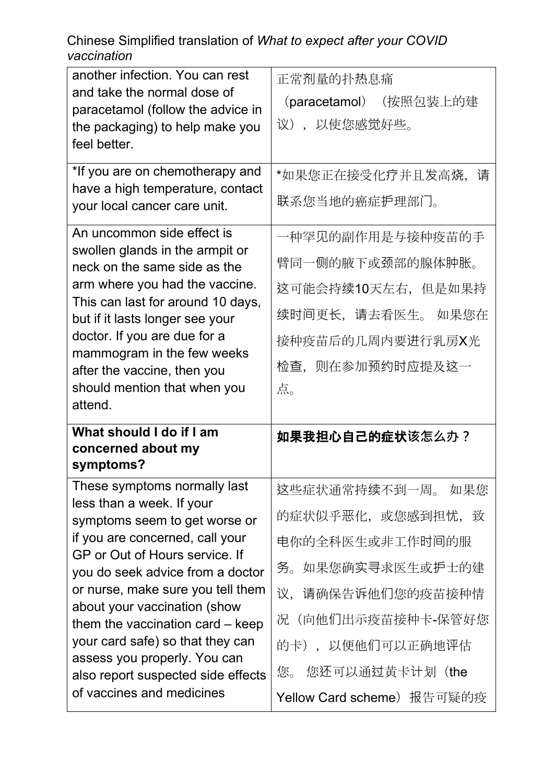| another infection. You can rest                                        | 正常剂量的扑热息痛              |
|------------------------------------------------------------------------|------------------------|
| and take the normal dose of                                            | (paracetamol) (按照包装上的建 |
| paracetamol (follow the advice in                                      | 议),以使您感觉好些。            |
| the packaging) to help make you<br>feel better.                        |                        |
|                                                                        |                        |
| *If you are on chemotherapy and                                        | *如果您正在接受化疗并且发高烧,<br>请  |
| have a high temperature, contact                                       | 联系您当地的癌症护理部门。          |
| your local cancer care unit.                                           |                        |
| An uncommon side effect is                                             | 一种罕见的副作用是与接种疫苗的手       |
| swollen glands in the armpit or                                        | 臂同一侧的腋下或颈部的腺体肿胀。       |
| neck on the same side as the                                           |                        |
| arm where you had the vaccine.<br>This can last for around 10 days,    | 这可能会持续10天左右,但是如果持      |
| but if it lasts longer see your                                        | 续时间更长,请去看医生。如果您在       |
| doctor. If you are due for a                                           | 接种疫苗后的几周内要进行乳房X光       |
| mammogram in the few weeks                                             | 检查,则在参加预约时应提及这一        |
| after the vaccine, then you<br>should mention that when you            |                        |
| attend.                                                                | 点。                     |
|                                                                        |                        |
|                                                                        |                        |
| What should I do if I am                                               | 如果我担心自己的症状该怎么办?        |
| concerned about my                                                     |                        |
| symptoms?                                                              |                        |
| These symptoms normally last<br>less than a week. If your              | 这些症状通常持续不到一周。 如果您      |
| symptoms seem to get worse or                                          | 的症状似乎恶化,或您感到担忧,致       |
| if you are concerned, call your                                        | 电你的全科医生或非工作时间的服        |
| GP or Out of Hours service. If                                         |                        |
| you do seek advice from a doctor                                       | 如果您确实寻求医生或护士的建<br>务。   |
| or nurse, make sure you tell them                                      | 议,请确保告诉他们您的疫苗接种情       |
| about your vaccination (show                                           | (向他们出示疫苗接种卡-保管好您<br>况  |
| them the vaccination card $-$ keep<br>your card safe) so that they can |                        |
| assess you properly. You can                                           | 的卡),以便他们可以正确地评估        |
| also report suspected side effects<br>of vaccines and medicines        | 您还可以通过黄卡计划(the<br>您。   |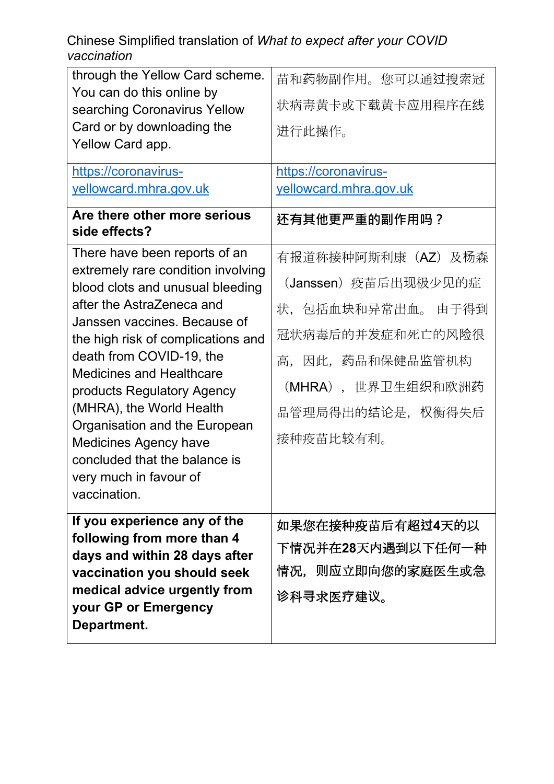| through the Yellow Card scheme.                               | 苗和药物副作用。您可以通过搜索冠       |
|---------------------------------------------------------------|------------------------|
| You can do this online by                                     | 状病毒黄卡或下载黄卡应用程序在线       |
| searching Coronavirus Yellow<br>Card or by downloading the    |                        |
| Yellow Card app.                                              | 进行此操作。                 |
|                                                               |                        |
| https://coronavirus-                                          | https://coronavirus-   |
| yellowcard.mhra.gov.uk                                        | yellowcard.mhra.gov.uk |
| Are there other more serious<br>side effects?                 | 还有其他更严重的副作用吗?          |
| There have been reports of an                                 | 有报道称接种阿斯利康(AZ)及杨森      |
| extremely rare condition involving                            | (Janssen) 疫苗后出现极少见的症   |
| blood clots and unusual bleeding<br>after the AstraZeneca and |                        |
| Janssen vaccines. Because of                                  | 状,包括血块和异常出血。 由于得到      |
| the high risk of complications and                            | 冠状病毒后的并发症和死亡的风险很       |
| death from COVID-19, the                                      | 高,因此,药品和保健品监管机构        |
| <b>Medicines and Healthcare</b>                               |                        |
| products Regulatory Agency                                    | (MHRA),世界卫生组织和欧洲药      |
| (MHRA), the World Health                                      | 品管理局得出的结论是,权衡得失后       |
| Organisation and the European                                 | 接种疫苗比较有利。              |
| <b>Medicines Agency have</b><br>concluded that the balance is |                        |
| very much in favour of                                        |                        |
| vaccination.                                                  |                        |
|                                                               |                        |
| If you experience any of the<br>following from more than 4    | 如果您在接种疫苗后有超过4天的以       |
| days and within 28 days after                                 | 下情况并在28天内遇到以下任何一种      |
| vaccination you should seek                                   | 情况,则应立即向您的家庭医生或急       |
| medical advice urgently from                                  | 诊科寻求医疗建议。              |
| your GP or Emergency<br>Department.                           |                        |
|                                                               |                        |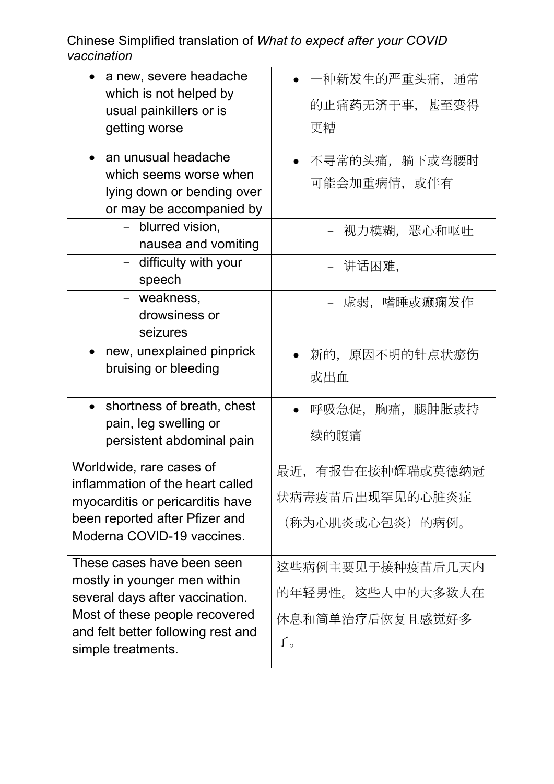| a new, severe headache<br>which is not helped by                                                                                                                                            | -种新发生的严重头痛,通常                                                             |
|---------------------------------------------------------------------------------------------------------------------------------------------------------------------------------------------|---------------------------------------------------------------------------|
| usual painkillers or is                                                                                                                                                                     | 的止痛药无济于事,甚至变得                                                             |
| getting worse                                                                                                                                                                               | 更糟                                                                        |
| an unusual headache<br>which seems worse when<br>lying down or bending over<br>or may be accompanied by<br>blurred vision,<br>$\equiv$<br>nausea and vomiting<br>difficulty with your       | 不寻常的头痛, 躺下或弯腰时<br>可能会加重病情,或伴有<br>视力模糊,恶心和呕吐<br>讲话困难,                      |
| speech<br>- weakness,<br>drowsiness or<br>seizures                                                                                                                                          | 虚弱,嗜睡或癫痫发作                                                                |
| new, unexplained pinprick<br>$\bullet$<br>bruising or bleeding                                                                                                                              | 新的,原因不明的针点状瘀伤<br>或出血                                                      |
| shortness of breath, chest<br>$\bullet$<br>pain, leg swelling or<br>persistent abdominal pain                                                                                               | 呼吸急促, 胸痛, 腿肿胀或持<br>续的腹痛                                                   |
| Worldwide, rare cases of<br>inflammation of the heart called<br>myocarditis or pericarditis have<br>been reported after Pfizer and<br>Moderna COVID-19 vaccines.                            | 最近,<br>有报告在接种辉瑞或莫德纳冠<br>状病毒疫苗后出现罕见的心脏炎症<br>(称为心肌炎或心包炎)的病例。                |
| These cases have been seen<br>mostly in younger men within<br>several days after vaccination.<br>Most of these people recovered<br>and felt better following rest and<br>simple treatments. | 这些病例主要见于接种疫苗后几天内<br>的年轻男性。这些人中的大多数人在<br>休息和简单治疗后恢复且感觉好多<br>$\overline{J}$ |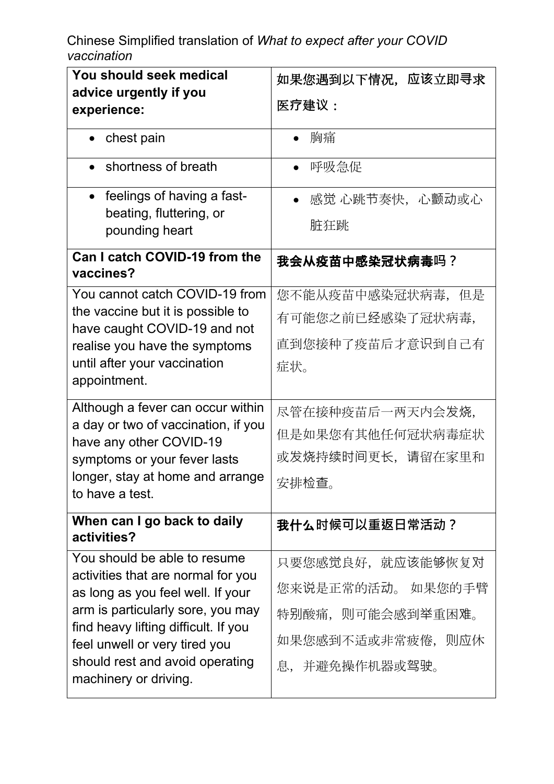| You should seek medical                                                  | 如果您遇到以下情况,应该立即寻求       |
|--------------------------------------------------------------------------|------------------------|
| advice urgently if you                                                   |                        |
| experience:                                                              | 医疗建议:                  |
| chest pain                                                               | 胸痛                     |
| shortness of breath                                                      | 呼吸急促                   |
| • feelings of having a fast-                                             | 感觉 心跳节奏快, 心颤动或心        |
| beating, fluttering, or                                                  | 脏狂跳                    |
| pounding heart                                                           |                        |
| Can I catch COVID-19 from the<br>vaccines?                               | 我会从疫苗中感染冠状病毒吗?         |
| You cannot catch COVID-19 from                                           | 您不能从疫苗中感染冠状病毒,<br>但是   |
| the vaccine but it is possible to                                        | 有可能您之前已经感染了冠状病毒,       |
| have caught COVID-19 and not                                             | 直到您接种了疫苗后才意识到自己有       |
| realise you have the symptoms<br>until after your vaccination            |                        |
| appointment.                                                             | 症状。                    |
|                                                                          |                        |
| Although a fever can occur within<br>a day or two of vaccination, if you | 尽管在接种疫苗后一两天内会发烧,       |
| have any other COVID-19                                                  | 但是如果您有其他任何冠状病毒症状       |
| symptoms or your fever lasts                                             | 或发烧持续时间更长,请留在家里和       |
| longer, stay at home and arrange                                         | 安排检查。                  |
| to have a test.                                                          |                        |
| When can I go back to daily<br>activities?                               | 我什么时候可以重返日常活动 <b>?</b> |
| You should be able to resume                                             | 只要您感觉良好,就应该能够恢复对       |
| activities that are normal for you<br>as long as you feel well. If your  | 您来说是正常的活动。 如果您的手臂      |
| arm is particularly sore, you may                                        | 特别酸痛,则可能会感到举重困难。       |
| find heavy lifting difficult. If you                                     |                        |
| feel unwell or very tired you                                            | 如果您感到不适或非常疲倦,则应休       |
| should rest and avoid operating                                          | 并避免操作机器或驾驶。<br>息,      |
| machinery or driving.                                                    |                        |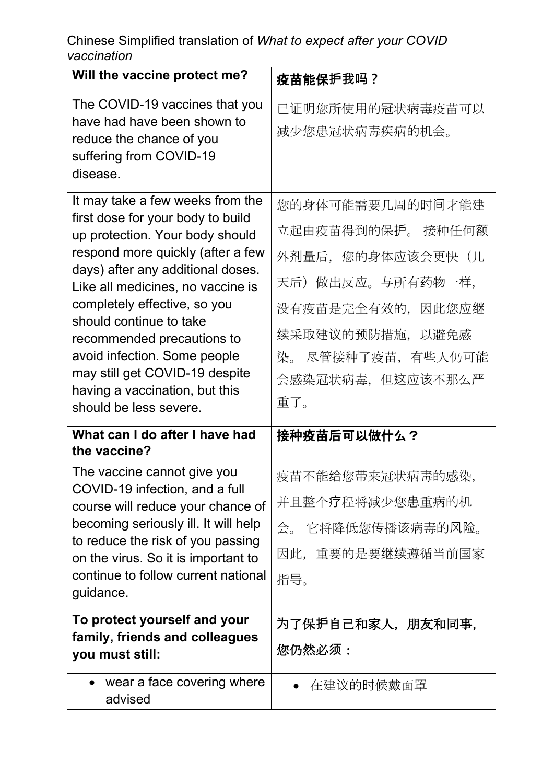| Will the vaccine protect me?                                                                                                                                                                                                                                                                                                                                                                                                                   | 疫苗能保护我吗?                                                                                                                                                              |
|------------------------------------------------------------------------------------------------------------------------------------------------------------------------------------------------------------------------------------------------------------------------------------------------------------------------------------------------------------------------------------------------------------------------------------------------|-----------------------------------------------------------------------------------------------------------------------------------------------------------------------|
| The COVID-19 vaccines that you<br>have had have been shown to<br>reduce the chance of you<br>suffering from COVID-19<br>disease.                                                                                                                                                                                                                                                                                                               | 已证明您所使用的冠状病毒疫苗可以<br>减少您患冠状病毒疾病的机会。                                                                                                                                    |
| It may take a few weeks from the<br>first dose for your body to build<br>up protection. Your body should<br>respond more quickly (after a few<br>days) after any additional doses.<br>Like all medicines, no vaccine is<br>completely effective, so you<br>should continue to take<br>recommended precautions to<br>avoid infection. Some people<br>may still get COVID-19 despite<br>having a vaccination, but this<br>should be less severe. | 您的身体可能需要几周的时间才能建<br>立起由疫苗得到的保护。 接种任何额<br>外剂量后,您的身体应该会更快(几<br>天后) 做出反应。与所有药物一样,<br>没有疫苗是完全有效的,因此您应继<br>续采取建议的预防措施,以避免感<br>染。 尽管接种了疫苗,有些人仍可能<br>会感染冠状病毒,但这应该不那么严<br>重了。 |
| What can I do after I have had<br>the vaccine?                                                                                                                                                                                                                                                                                                                                                                                                 | 接种疫苗后可以做什么?                                                                                                                                                           |
| The vaccine cannot give you<br>COVID-19 infection, and a full<br>course will reduce your chance of<br>becoming seriously ill. It will help<br>to reduce the risk of you passing<br>on the virus. So it is important to<br>continue to follow current national<br>guidance.                                                                                                                                                                     | 疫苗不能给您带来冠状病毒的感染,<br>并且整个疗程将减少您患重病的机<br>会。 它将降低您传播该病毒的风险。<br>因此,重要的是要继续遵循当前国家<br>指导。                                                                                   |
| To protect yourself and your<br>family, friends and colleagues<br>you must still:                                                                                                                                                                                                                                                                                                                                                              | 为了保护自己和家人,朋友和同事,<br>您仍然必须:                                                                                                                                            |
| wear a face covering where<br>advised                                                                                                                                                                                                                                                                                                                                                                                                          | 在建议的时候戴面罩                                                                                                                                                             |